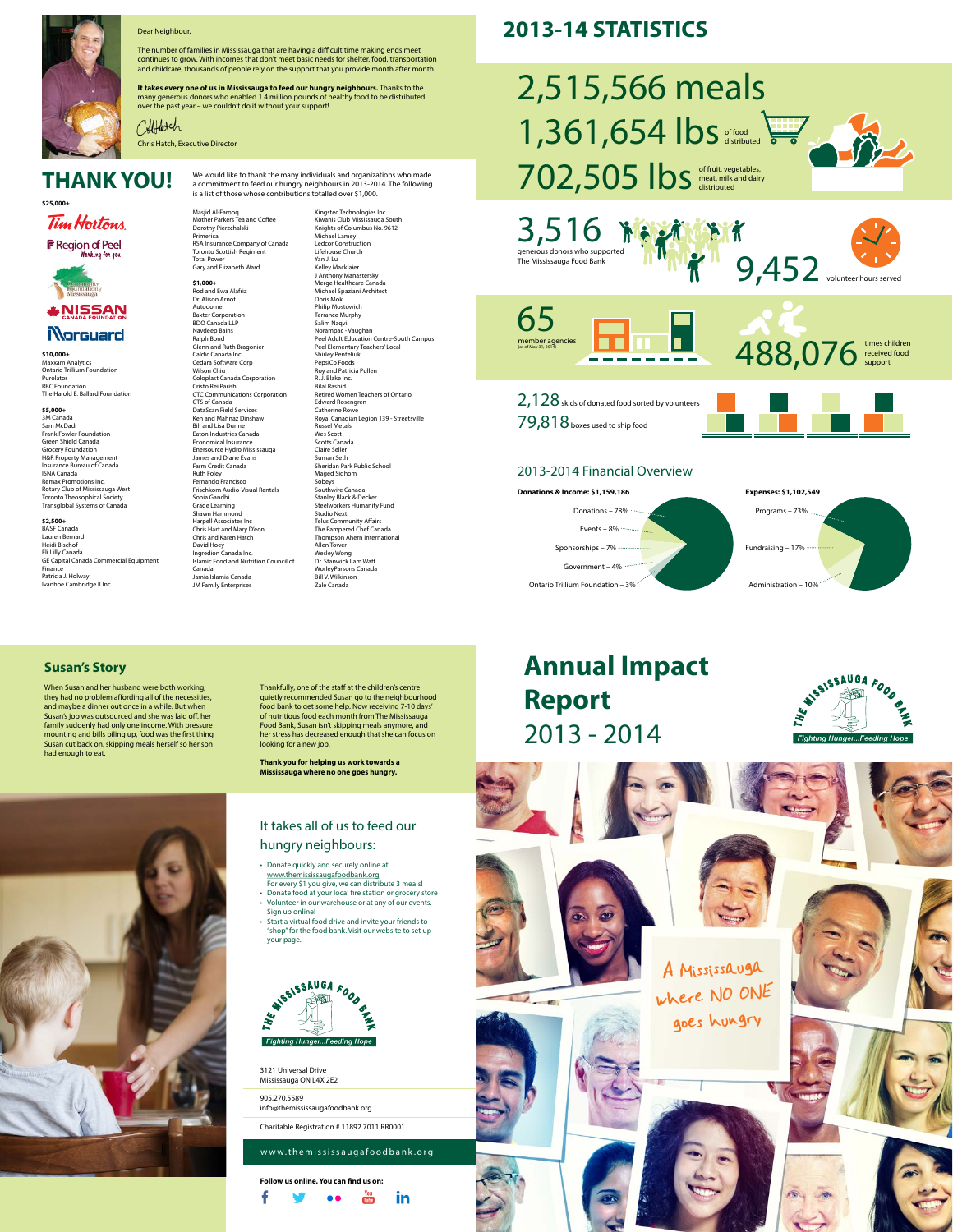# **Annual Impact Report** 2013 - 2014

#### **Susan's Story**

When Susan and her husband were both working, they had no problem affording all of the necessities, and maybe a dinner out once in a while. But when Susan's job was outsourced and she was laid off, her family suddenly had only one income. With pressure mounting and bills piling up, food was the first thing Susan cut back on, skipping meals herself so her son had enough to eat.

Thankfully, one of the staff at the children's centre quietly recommended Susan go to the neighbourhood

food bank to get some help. Now receiving 7-10 days' of nutritious food each month from The Mississauga Food Bank, Susan isn't skipping meals anymore, and her stress has decreased enough that she can focus on looking for a new job.

**Thank you for helping us work towards a Mississauga where no one goes hungry.**





3121 Universal Drive Mississauga ON L4X 2E2

905.270.5589 info@themississaugafoodbank.org

Charitable Registration # 11892 7011 RR0001

**Follow us online. You can find us on:**



#### www.themississaugafoodbank.org

## It takes all of us to feed our hungry neighbours:

- Donate quickly and securely online at www.themississaugafoodbank.org For every \$1 you give, we can distribute 3 meals!
- Donate food at your local fire station or grocery store
- Volunteer in our warehouse or at any of our events. Sign up online!
- Start a virtual food drive and invite your friends to "shop" for the food bank. Visit our website to set up your page.



## **THANK YOU!**

**\$25,000+**



**F** Region of Peel Wonking fon you



## **NISSAN Norguard**

**\$10,000+** Maxxam Analytics Ontario Trillium Foundation Purolator RBC Foundation The Harold E. Ballard Foundation

#### **\$5,000+**

3M Canada Sam McDadi Frank Fowler Foundation Green Shield Canada Grocery Foundation H&R Property Management Insurance Bureau of Canada ISNA Canada Remax Promotions Inc. Rotary Club of Mississauga West Toronto Theosophical Society Transglobal Systems of Canada

**\$2,500+** BASF Canada Lauren Bernardi Heidi Bischof Eli Lilly Canada GE Capital Canada Commercial Equipment Finance Patricia J. Holway Ivanhoe Cambridge II Inc



#### Dear Neighbour,

The number of families in Mississauga that are having a difficult time making ends meet continues to grow. With incomes that don't meet basic needs for shelter, food, transportation and childcare, thousands of people rely on the support that you provide month after month.

> 2,128 skids of donated food sorted by volunteers 79,818 boxes used to ship food

**It takes every one of us in Mississauga to feed our hungry neighbours.** Thanks to the many generous donors who enabled 1.4 million pounds of healthy food to be distributed over the past year – we couldn't do it without your support!

Chris Hatch, Executive Director

Masjid Al-Farooq Mother Parkers Tea and Coffee Dorothy Pierzchalski Primerica RSA Insurance Company of Canada Toronto Scottish Regiment Total Power Gary and Elizabeth Ward

**\$1,000+** Rod and Ewa Alafriz Dr. Alison Arnot Autodome Baxter Corporation BDO Canada LLP Navdeep Bains Ralph Bond Glenn and Ruth Bragonier Caldic Canada Inc Cedara Software Corp Wilson Chiu Coloplast Canada Corporation Cristo Rei Parish CTC Communications Corporation CTS of Canada DataScan Field Services Ken and Mahnaz Dinshaw Bill and Lisa Dunne Eaton Industries Canada Economical Insurance Enersource Hydro Mississauga James and Diane Evans Farm Credit Canada Ruth Foley Fernando Francisco Frischkorn Audio-Visual Rentals Sonia Gandhi Grade Learning Shawn Hammond Harpell Associates Inc Chris Hart and Mary D'eon Chris and Karen Hatch David Hoey Ingredion Canada Inc. Islamic Food and Nutrition Council of Canada Jamia Islamia Canada JM Family Enterprises

Kingstec Technologies Inc. Kiwanis Club Mississauga South Knights of Columbus No. 9612 Michael Lamey Ledcor Construction Lifehouse Church Yan J. Lu Kelley Macklaier J Anthony Manastersky Merge Healthcare Canada Michael Spaziani Architect Doris Mok Philip Mostowich Terrance Murphy Salim Naqvi Norampac - Vaughan Peel Adult Education Centre-South Campus Peel Elementary Teachers' Local Shirley Penteliuk PepsiCo Foods Roy and Patricia Pullen R. J. Blake Inc. Bilal Rashid Retired Women Teachers of Ontario Edward Rosengren Catherine Rowe Royal Canadian Legion 139 - Streetsville Russel Metals Wes Scott Scotts Canada Claire Seller Suman Seth Sheridan Park Public School Maged Sidhom Sobeys Southwire Canada Stanley Black & Decker Steelworkers Humanity Fund Studio Next Telus Community Affairs The Pampered Chef Canada Thompson Ahern International Allen Tower Wesley Wong Dr. Stanwick Lam Watt WorleyParsons Canada Bill V. Wilkinson

Zale Canada

We would like to thank the many individuals and organizations who made a commitment to feed our hungry neighbours in 2013-2014. The following

Collflatch

is a list of those whose contributions totalled over \$1,000.

65



## 2,515,566 meals 1,361,654 lbs 702,505 lbs distributed meat, milk and dairy distributed of food distributed





member agencies (as of May 31, 2014)

times children received food support 488,076

## **2013-14 STATISTICS**